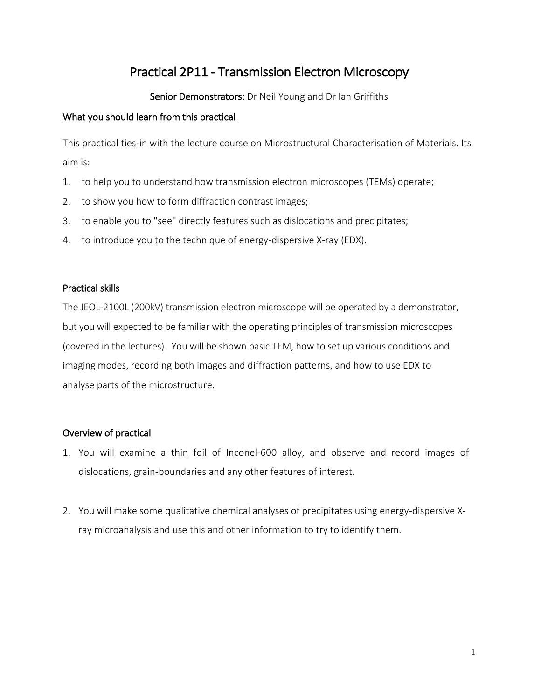# Practical 2P11 - Transmission Electron Microscopy

# Senior Demonstrators: Dr Neil Young and Dr Ian Griffiths

#### What you should learn from this practical

This practical ties-in with the lecture course on Microstructural Characterisation of Materials. Its aim is:

- 1. to help you to understand how transmission electron microscopes (TEMs) operate;
- 2. to show you how to form diffraction contrast images;
- 3. to enable you to "see" directly features such as dislocations and precipitates;
- 4. to introduce you to the technique of energy-dispersive X-ray (EDX).

## Practical skills

The JEOL-2100L (200kV) transmission electron microscope will be operated by a demonstrator, but you will expected to be familiar with the operating principles of transmission microscopes (covered in the lectures). You will be shown basic TEM, how to set up various conditions and imaging modes, recording both images and diffraction patterns, and how to use EDX to analyse parts of the microstructure.

# Overview of practical

- 1. You will examine a thin foil of Inconel-600 alloy, and observe and record images of dislocations, grain-boundaries and any other features of interest.
- 2. You will make some qualitative chemical analyses of precipitates using energy-dispersive Xray microanalysis and use this and other information to try to identify them.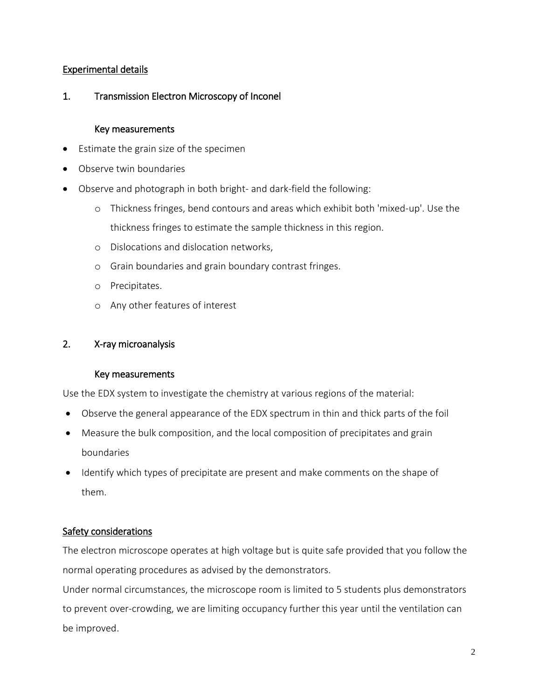#### Experimental details

# 1. Transmission Electron Microscopy of Inconel

#### Key measurements

- Estimate the grain size of the specimen
- Observe twin boundaries
- Observe and photograph in both bright- and dark-field the following:
	- o Thickness fringes, bend contours and areas which exhibit both 'mixed-up'. Use the thickness fringes to estimate the sample thickness in this region.
	- o Dislocations and dislocation networks,
	- o Grain boundaries and grain boundary contrast fringes.
	- o Precipitates.
	- o Any other features of interest

#### 2. X-ray microanalysis

#### Key measurements

Use the EDX system to investigate the chemistry at various regions of the material:

- Observe the general appearance of the EDX spectrum in thin and thick parts of the foil
- Measure the bulk composition, and the local composition of precipitates and grain boundaries
- Identify which types of precipitate are present and make comments on the shape of them.

#### Safety considerations

The electron microscope operates at high voltage but is quite safe provided that you follow the normal operating procedures as advised by the demonstrators.

Under normal circumstances, the microscope room is limited to 5 students plus demonstrators to prevent over-crowding, we are limiting occupancy further this year until the ventilation can be improved.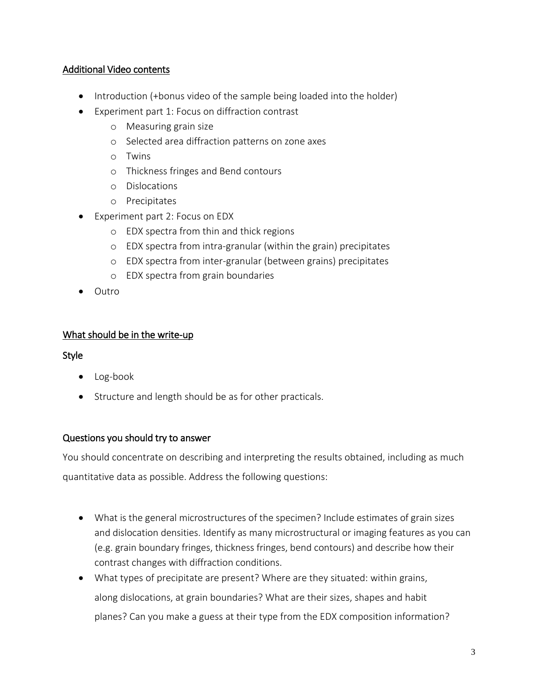## Additional Video contents

- Introduction (+bonus video of the sample being loaded into the holder)
- Experiment part 1: Focus on diffraction contrast
	- o Measuring grain size
	- o Selected area diffraction patterns on zone axes
	- o Twins
	- o Thickness fringes and Bend contours
	- o Dislocations
	- o Precipitates
- Experiment part 2: Focus on EDX
	- o EDX spectra from thin and thick regions
	- o EDX spectra from intra-granular (within the grain) precipitates
	- o EDX spectra from inter-granular (between grains) precipitates
	- o EDX spectra from grain boundaries
- Outro

## What should be in the write-up

#### Style

- Log-book
- Structure and length should be as for other practicals.

#### Questions you should try to answer

You should concentrate on describing and interpreting the results obtained, including as much quantitative data as possible. Address the following questions:

- What is the general microstructures of the specimen? Include estimates of grain sizes and dislocation densities. Identify as many microstructural or imaging features as you can (e.g. grain boundary fringes, thickness fringes, bend contours) and describe how their contrast changes with diffraction conditions.
- What types of precipitate are present? Where are they situated: within grains, along dislocations, at grain boundaries? What are their sizes, shapes and habit planes? Can you make a guess at their type from the EDX composition information?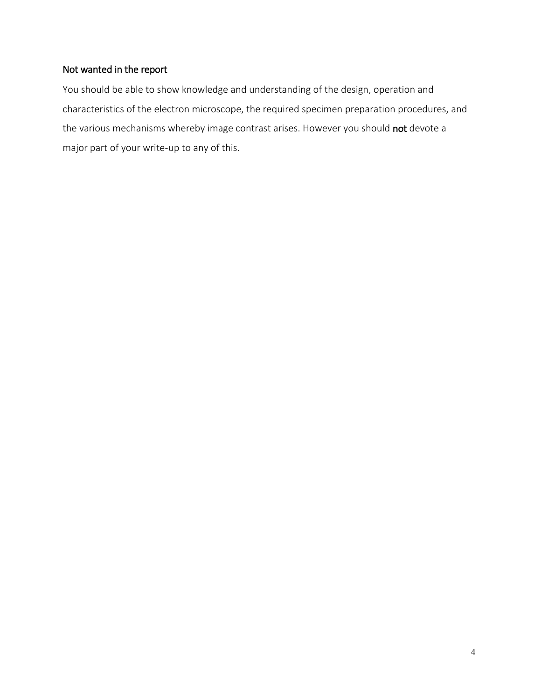# Not wanted in the report

You should be able to show knowledge and understanding of the design, operation and characteristics of the electron microscope, the required specimen preparation procedures, and the various mechanisms whereby image contrast arises. However you should not devote a major part of your write-up to any of this.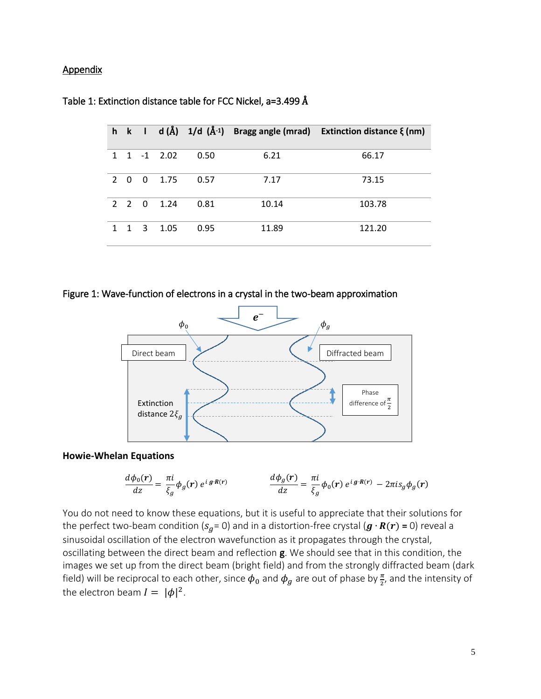#### Appendix

|               |                   |                |             |      |       | h k l d( $\AA$ ) 1/d ( $\AA$ <sup>-1</sup> ) Bragg angle (mrad) Extinction distance $\xi$ (nm) |
|---------------|-------------------|----------------|-------------|------|-------|------------------------------------------------------------------------------------------------|
| $\mathbf{1}$  |                   |                | $1 -1$ 2.02 | 0.50 | 6.21  | 66.17                                                                                          |
| $\mathcal{P}$ | $\Omega$          | $\overline{0}$ | 1.75        | 0.57 | 7.17  | 73.15                                                                                          |
|               | $2\quad 2\quad 0$ |                | 1.24        | 0.81 | 10.14 | 103.78                                                                                         |
|               | $\mathbf 1$       | - 3            | 1.05        | 0.95 | 11.89 | 121.20                                                                                         |

#### Table 1: Extinction distance table for FCC Nickel, a=3.499 Å

Figure 1: Wave-function of electrons in a crystal in the two-beam approximation



#### **Howie-Whelan Equations**

$$
\frac{d\phi_0(\mathbf{r})}{dz} = \frac{\pi i}{\xi_g} \phi_g(\mathbf{r}) e^{i g \cdot \mathbf{R}(\mathbf{r})} \qquad \qquad \frac{d\phi_g(\mathbf{r})}{dz} = \frac{\pi i}{\xi_g} \phi_0(\mathbf{r}) e^{i g \cdot \mathbf{R}(\mathbf{r})} - 2\pi i s_g \phi_g(\mathbf{r})
$$

You do not need to know these equations, but it is useful to appreciate that their solutions for the perfect two-beam condition ( $s_q$ = 0) and in a distortion-free crystal ( $\bm{g} \cdot \bm{R}(\bm{r})$  = 0) reveal a sinusoidal oscillation of the electron wavefunction as it propagates through the crystal, oscillating between the direct beam and reflection g. We should see that in this condition, the images we set up from the direct beam (bright field) and from the strongly diffracted beam (dark field) will be reciprocal to each other, since  $\pmb{\phi}_0$  and  $\pmb{\phi}_g$  are out of phase by  $\frac{\pi}{2}$ , and the intensity of the electron beam  $I = |\phi|^2$ .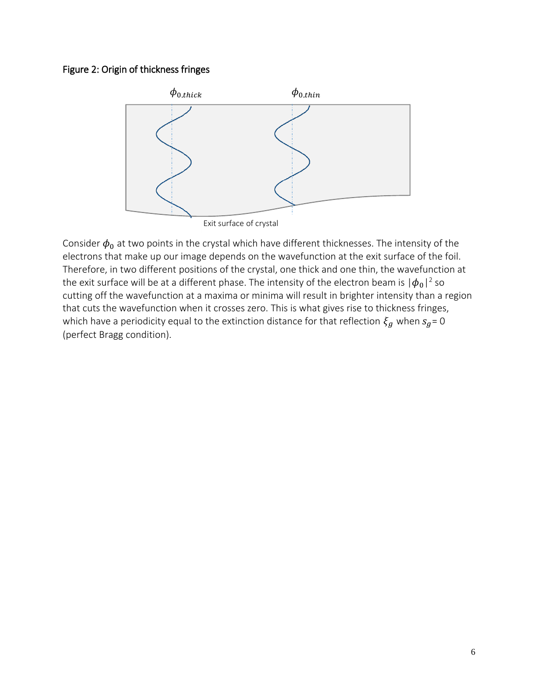# Figure 2: Origin of thickness fringes



Consider  $\phi_0$  at two points in the crystal which have different thicknesses. The intensity of the electrons that make up our image depends on the wavefunction at the exit surface of the foil. Therefore, in two different positions of the crystal, one thick and one thin, the wavefunction at the exit surface will be at a different phase. The intensity of the electron beam is  $|\phi_0|^2$  so cutting off the wavefunction at a maxima or minima will result in brighter intensity than a region that cuts the wavefunction when it crosses zero. This is what gives rise to thickness fringes, which have a periodicity equal to the extinction distance for that reflection  $\xi_g$  when  $s_g = 0$ (perfect Bragg condition).